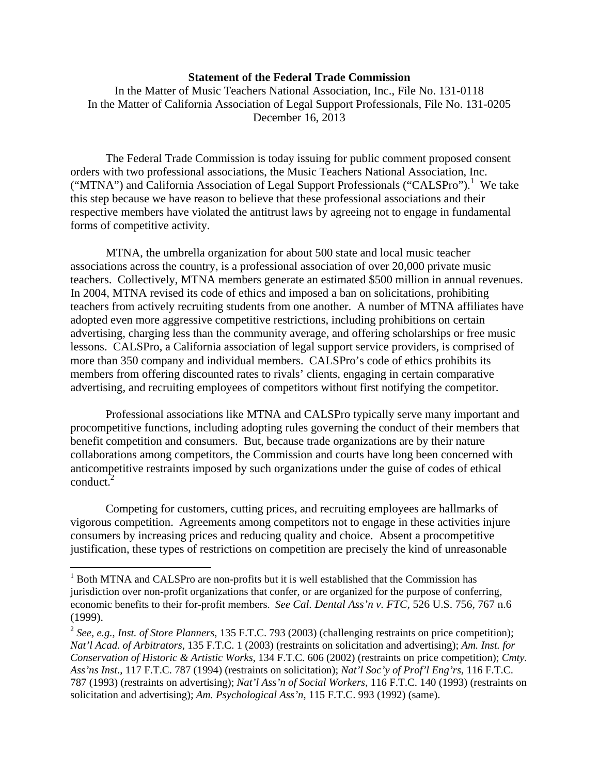## **Statement of the Federal Trade Commission**

In the Matter of Music Teachers National Association, Inc., File No. 131-0118 In the Matter of California Association of Legal Support Professionals, File No. 131-0205 December 16, 2013

The Federal Trade Commission is today issuing for public comment proposed consent orders with two professional associations, the Music Teachers National Association, Inc. ("MTNA") and California Association of Legal Support Professionals ("CALSPro").<sup>1</sup> We take this step because we have reason to believe that these professional associations and their respective members have violated the antitrust laws by agreeing not to engage in fundamental forms of competitive activity.

MTNA, the umbrella organization for about 500 state and local music teacher associations across the country, is a professional association of over 20,000 private music teachers. Collectively, MTNA members generate an estimated \$500 million in annual revenues. In 2004, MTNA revised its code of ethics and imposed a ban on solicitations, prohibiting teachers from actively recruiting students from one another. A number of MTNA affiliates have adopted even more aggressive competitive restrictions, including prohibitions on certain advertising, charging less than the community average, and offering scholarships or free music lessons. CALSPro, a California association of legal support service providers, is comprised of more than 350 company and individual members. CALSPro's code of ethics prohibits its members from offering discounted rates to rivals' clients, engaging in certain comparative advertising, and recruiting employees of competitors without first notifying the competitor.

Professional associations like MTNA and CALSPro typically serve many important and procompetitive functions, including adopting rules governing the conduct of their members that benefit competition and consumers. But, because trade organizations are by their nature collaborations among competitors, the Commission and courts have long been concerned with anticompetitive restraints imposed by such organizations under the guise of codes of ethical conduct. $2$ 

Competing for customers, cutting prices, and recruiting employees are hallmarks of vigorous competition. Agreements among competitors not to engage in these activities injure consumers by increasing prices and reducing quality and choice. Absent a procompetitive justification, these types of restrictions on competition are precisely the kind of unreasonable

 $\overline{a}$ 

<sup>&</sup>lt;sup>1</sup> Both MTNA and CALSPro are non-profits but it is well established that the Commission has jurisdiction over non-profit organizations that confer, or are organized for the purpose of conferring, economic benefits to their for-profit members. *See Cal. Dental Ass'n v. FTC*, 526 U.S. 756, 767 n.6 (1999). 2 *See, e.g.*, *Inst. of Store Planners*, 135 F.T.C. 793 (2003) (challenging restraints on price competition);

*Nat'l Acad. of Arbitrators*, 135 F.T.C. 1 (2003) (restraints on solicitation and advertising); *Am. Inst. for Conservation of Historic & Artistic Works*, 134 F.T.C. 606 (2002) (restraints on price competition); *Cmty. Ass'ns Inst*., 117 F.T.C. 787 (1994) (restraints on solicitation); *Nat'l Soc'y of Prof'l Eng'rs,* 116 F.T.C. 787 (1993) (restraints on advertising); *Nat'l Ass'n of Social Workers*, 116 F.T.C. 140 (1993) (restraints on solicitation and advertising); *Am. Psychological Ass'n*, 115 F.T.C. 993 (1992) (same).